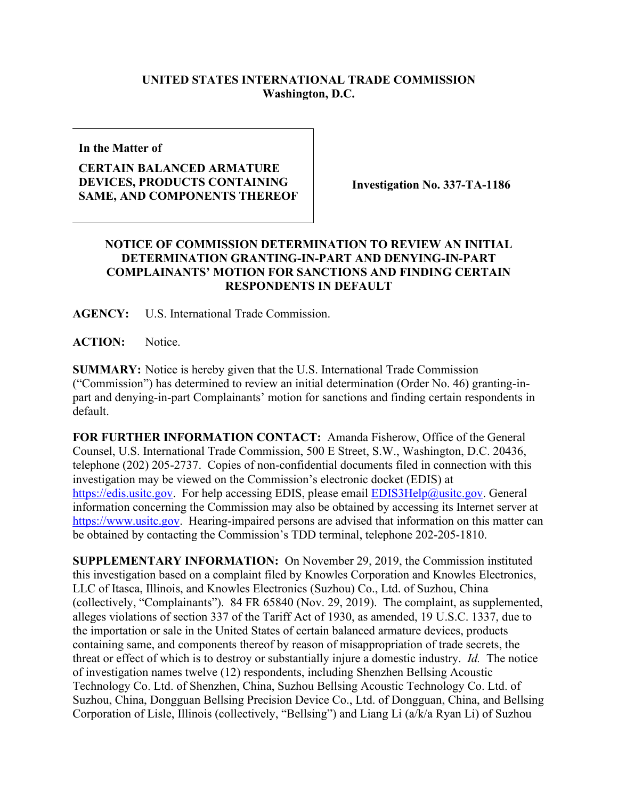## **UNITED STATES INTERNATIONAL TRADE COMMISSION Washington, D.C.**

**In the Matter of**

## **CERTAIN BALANCED ARMATURE DEVICES, PRODUCTS CONTAINING SAME, AND COMPONENTS THEREOF**

**Investigation No. 337-TA-1186**

## **NOTICE OF COMMISSION DETERMINATION TO REVIEW AN INITIAL DETERMINATION GRANTING-IN-PART AND DENYING-IN-PART COMPLAINANTS' MOTION FOR SANCTIONS AND FINDING CERTAIN RESPONDENTS IN DEFAULT**

**AGENCY:** U.S. International Trade Commission.

ACTION: Notice.

**SUMMARY:** Notice is hereby given that the U.S. International Trade Commission ("Commission") has determined to review an initial determination (Order No. 46) granting-inpart and denying-in-part Complainants' motion for sanctions and finding certain respondents in default.

**FOR FURTHER INFORMATION CONTACT:** Amanda Fisherow, Office of the General Counsel, U.S. International Trade Commission, 500 E Street, S.W., Washington, D.C. 20436, telephone (202) 205-2737. Copies of non-confidential documents filed in connection with this investigation may be viewed on the Commission's electronic docket (EDIS) at [https://edis.usitc.gov.](https://edis.usitc.gov/) For help accessing EDIS, please email **EDIS3Help@usitc.gov**. General information concerning the Commission may also be obtained by accessing its Internet server at [https://www.usitc.gov.](https://www.usitc.gov/) Hearing-impaired persons are advised that information on this matter can be obtained by contacting the Commission's TDD terminal, telephone 202-205-1810.

**SUPPLEMENTARY INFORMATION:** On November 29, 2019, the Commission instituted this investigation based on a complaint filed by Knowles Corporation and Knowles Electronics, LLC of Itasca, Illinois, and Knowles Electronics (Suzhou) Co., Ltd. of Suzhou, China (collectively, "Complainants"). 84 FR 65840 (Nov. 29, 2019). The complaint, as supplemented, alleges violations of section 337 of the Tariff Act of 1930, as amended, 19 U.S.C. 1337, due to the importation or sale in the United States of certain balanced armature devices, products containing same, and components thereof by reason of misappropriation of trade secrets, the threat or effect of which is to destroy or substantially injure a domestic industry. *Id.* The notice of investigation names twelve (12) respondents, including Shenzhen Bellsing Acoustic Technology Co. Ltd. of Shenzhen, China, Suzhou Bellsing Acoustic Technology Co. Ltd. of Suzhou, China, Dongguan Bellsing Precision Device Co., Ltd. of Dongguan, China, and Bellsing Corporation of Lisle, Illinois (collectively, "Bellsing") and Liang Li (a/k/a Ryan Li) of Suzhou